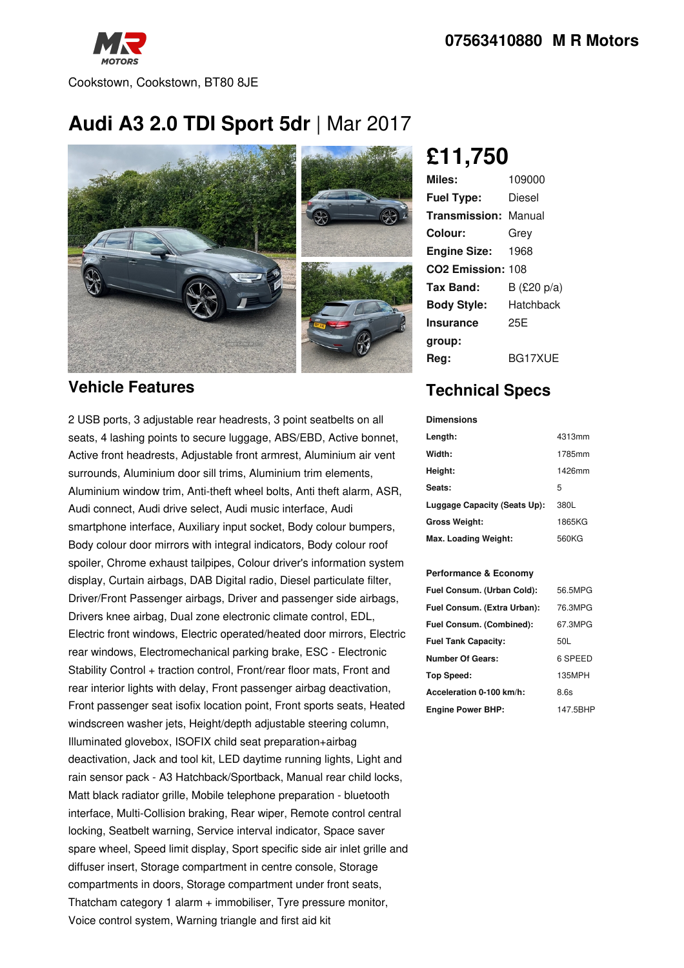

# **Audi A3 2.0 TDI Sport 5dr** |Mar 2017



#### **Vehicle Features**

2 USB ports, 3 adjustable rear headrests, 3 point seatbelts on all seats, 4 lashing points to secure luggage, ABS/EBD, Active bonnet, Active front headrests, Adjustable front armrest, Aluminium air vent surrounds, Aluminium door sill trims, Aluminium trim elements, Aluminium window trim, Anti-theft wheel bolts, Anti theft alarm, ASR, Audi connect, Audi drive select, Audi music interface, Audi smartphone interface, Auxiliary input socket, Body colour bumpers, Body colour door mirrors with integral indicators, Body colour roof spoiler, Chrome exhaust tailpipes, Colour driver's information system display, Curtain airbags, DAB Digital radio, Diesel particulate filter, Driver/Front Passenger airbags, Driver and passenger side airbags, Drivers knee airbag, Dual zone electronic climate control, EDL, Electric front windows, Electric operated/heated door mirrors, Electric rear windows, Electromechanical parking brake, ESC - Electronic Stability Control + traction control, Front/rear floor mats, Front and rear interior lights with delay, Front passenger airbag deactivation, Front passenger seat isofix location point, Front sports seats, Heated windscreen washer jets, Height/depth adjustable steering column, Illuminated glovebox, ISOFIX child seat preparation+airbag deactivation, Jack and tool kit, LED daytime running lights, Light and rain sensor pack - A3 Hatchback/Sportback, Manual rear child locks, Matt black radiator grille, Mobile telephone preparation - bluetooth interface, Multi-Collision braking, Rear wiper, Remote control central locking, Seatbelt warning, Service interval indicator, Space saver spare wheel, Speed limit display, Sport specific side air inlet grille and diffuser insert, Storage compartment in centre console, Storage compartments in doors, Storage compartment under front seats, Thatcham category 1 alarm + immobiliser, Tyre pressure monitor, Voice control system, Warning triangle and first aid kit

## **£11,750**

| Miles:                        | 109000      |
|-------------------------------|-------------|
| <b>Fuel Type:</b>             | Diesel      |
| <b>Transmission: Manual</b>   |             |
| Colour:                       | Grey        |
| <b>Engine Size:</b>           | 1968        |
| CO <sub>2</sub> Emission: 108 |             |
| Tax Band:                     | B (£20 p/a) |
| <b>Body Style:</b>            | Hatchback   |
| <b>Insurance</b>              | 25F         |
| group:                        |             |
| Rea:                          | BG17XUE     |

### **Technical Specs**

| <b>Dimensions</b>            |        |
|------------------------------|--------|
| Length:                      | 4313mm |
| Width:                       | 1785mm |
| Height:                      | 1426mm |
| Seats:                       | 5      |
| Luggage Capacity (Seats Up): | 380L   |
| <b>Gross Weight:</b>         | 1865KG |
| Max. Loading Weight:         | 560KG  |

#### **Performance & Economy**

| Fuel Consum. (Urban Cold):  | 56.5MPG  |
|-----------------------------|----------|
| Fuel Consum. (Extra Urban): | 76.3MPG  |
| Fuel Consum. (Combined):    | 67.3MPG  |
| <b>Fuel Tank Capacity:</b>  | 50L      |
| <b>Number Of Gears:</b>     | 6 SPEED  |
| <b>Top Speed:</b>           | 135MPH   |
| Acceleration 0-100 km/h:    | 8.6s     |
| <b>Engine Power BHP:</b>    | 147.5BHP |